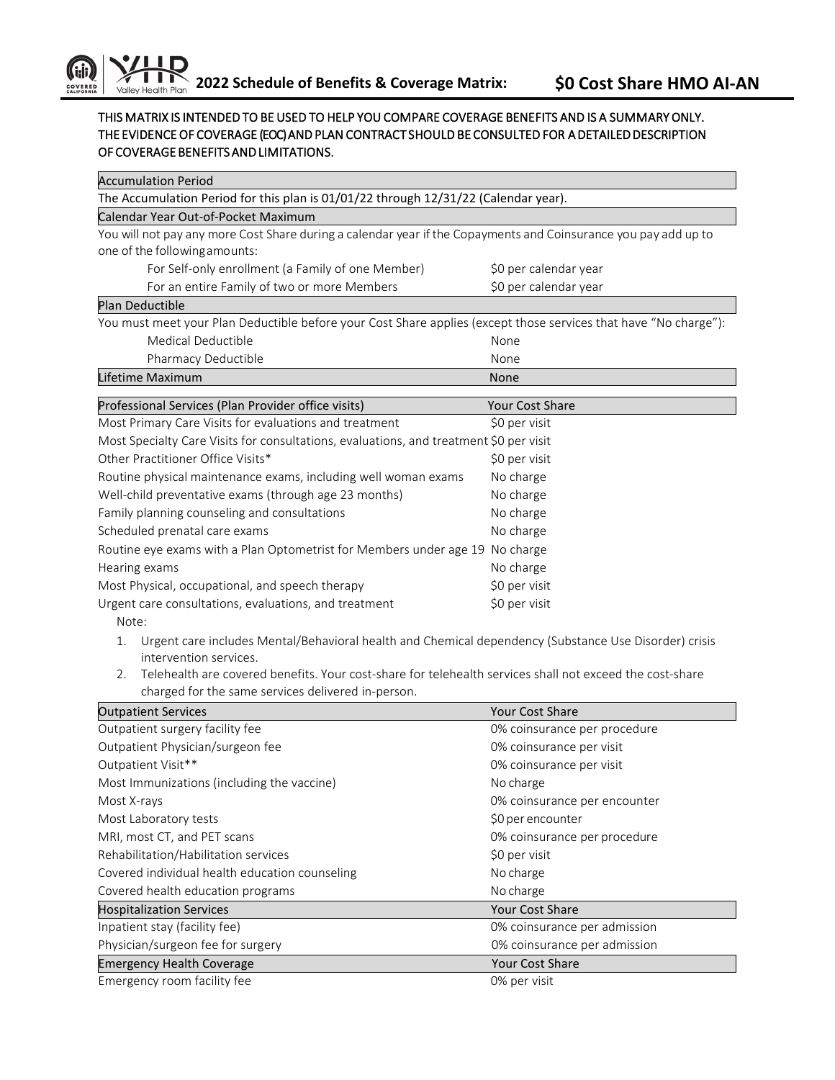Accumulation Period

## THIS MATRIX IS INTENDED TO BE USED TO HELP YOU COMPARE COVERAGE BENEFITS AND IS A SUMMARY ONLY. THE EVIDENCE OF COVERAGE (EOC) AND PLAN CONTRACT SHOULD BE CONSULTED FOR A DETAILED DESCRIPTION OF COVERAGE BENEFITS AND LIMITATIONS.

| The Accumulation Period for this plan is 01/01/22 through 12/31/22 (Calendar year).                              |                              |  |  |
|------------------------------------------------------------------------------------------------------------------|------------------------------|--|--|
| Calendar Year Out-of-Pocket Maximum                                                                              |                              |  |  |
| You will not pay any more Cost Share during a calendar year if the Copayments and Coinsurance you pay add up to  |                              |  |  |
| one of the following amounts:                                                                                    |                              |  |  |
| For Self-only enrollment (a Family of one Member)                                                                | \$0 per calendar year        |  |  |
| For an entire Family of two or more Members                                                                      | \$0 per calendar year        |  |  |
| Plan Deductible                                                                                                  |                              |  |  |
| You must meet your Plan Deductible before your Cost Share applies (except those services that have "No charge"): |                              |  |  |
| Medical Deductible                                                                                               | None                         |  |  |
| Pharmacy Deductible                                                                                              | None                         |  |  |
| Lifetime Maximum                                                                                                 | None                         |  |  |
| Professional Services (Plan Provider office visits)                                                              | Your Cost Share              |  |  |
| Most Primary Care Visits for evaluations and treatment                                                           | \$0 per visit                |  |  |
| Most Specialty Care Visits for consultations, evaluations, and treatment \$0 per visit                           |                              |  |  |
| Other Practitioner Office Visits*                                                                                | \$0 per visit                |  |  |
| Routine physical maintenance exams, including well woman exams                                                   | No charge                    |  |  |
| Well-child preventative exams (through age 23 months)                                                            | No charge                    |  |  |
| Family planning counseling and consultations                                                                     | No charge                    |  |  |
| Scheduled prenatal care exams                                                                                    | No charge                    |  |  |
| Routine eye exams with a Plan Optometrist for Members under age 19 No charge                                     |                              |  |  |
| Hearing exams                                                                                                    | No charge                    |  |  |
| Most Physical, occupational, and speech therapy                                                                  | \$0 per visit                |  |  |
| Urgent care consultations, evaluations, and treatment                                                            | \$0 per visit                |  |  |
| Note:                                                                                                            |                              |  |  |
| Urgent care includes Mental/Behavioral health and Chemical dependency (Substance Use Disorder) crisis<br>1.      |                              |  |  |
| intervention services.                                                                                           |                              |  |  |
| Telehealth are covered benefits. Your cost-share for telehealth services shall not exceed the cost-share<br>2.   |                              |  |  |
| charged for the same services delivered in-person.                                                               |                              |  |  |
| <b>Outpatient Services</b>                                                                                       | Your Cost Share              |  |  |
| Outpatient surgery facility fee                                                                                  | 0% coinsurance per procedure |  |  |
| Outpatient Physician/surgeon fee                                                                                 | 0% coinsurance per visit     |  |  |
| Outpatient Visit**                                                                                               | 0% coinsurance per visit     |  |  |
| Most Immunizations (including the vaccine)                                                                       | No charge                    |  |  |
| Most X-rays                                                                                                      | 0% coinsurance per encounter |  |  |
| Most Laboratory tests                                                                                            | \$0 per encounter            |  |  |
| MRI, most CT, and PET scans                                                                                      | 0% coinsurance per procedure |  |  |
| Rehabilitation/Habilitation services                                                                             | \$0 per visit                |  |  |
| Covered individual health education counseling                                                                   | No charge                    |  |  |
| Covered health education programs                                                                                | No charge                    |  |  |
| <b>Hospitalization Services</b>                                                                                  | <b>Your Cost Share</b>       |  |  |
| Inpatient stay (facility fee)                                                                                    | 0% coinsurance per admission |  |  |
| Physician/surgeon fee for surgery                                                                                | 0% coinsurance per admission |  |  |
| <b>Emergency Health Coverage</b>                                                                                 | Your Cost Share              |  |  |
| Emergency room facility fee                                                                                      | 0% per visit                 |  |  |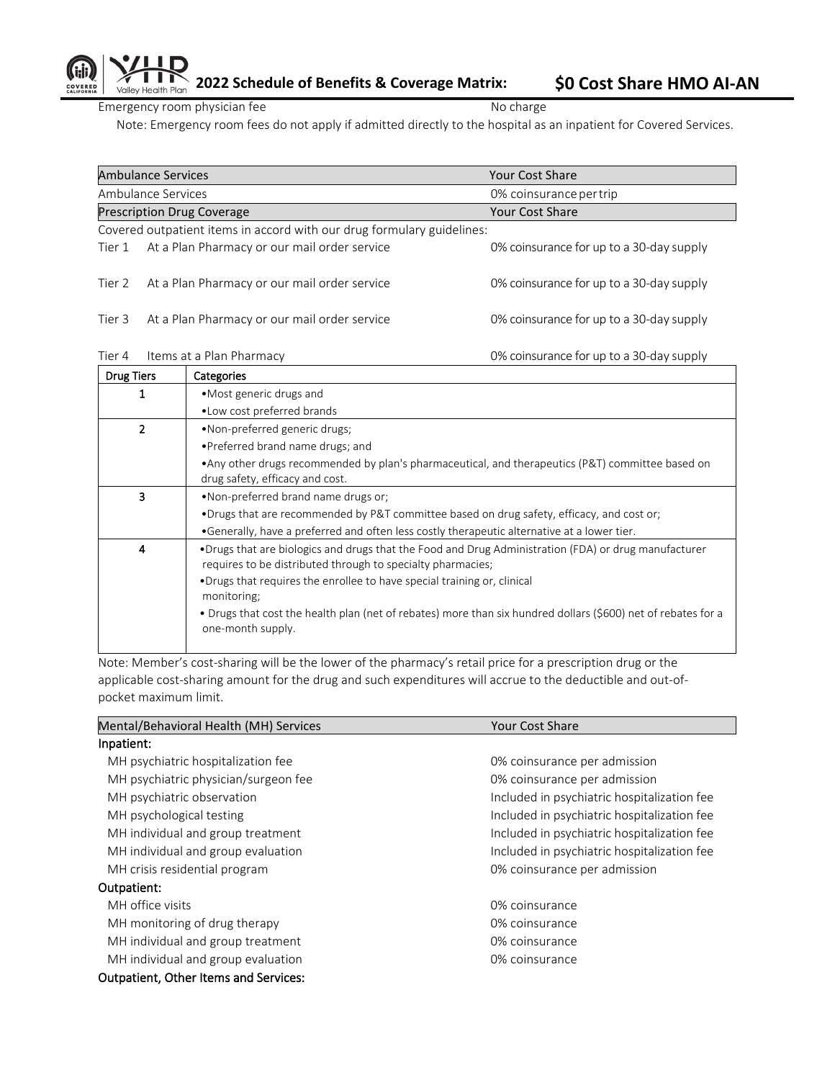**2022 Schedule of Benefits & Coverage Matrix: \$0 Cost Share HMO AI-AN** 

Emergency room physician fee No charge No charge

Note: Emergency room fees do not apply if admitted directly to the hospital as an inpatient for Covered Services.

| <b>Ambulance Services</b>                                              |                                              |                                              | <b>Your Cost Share</b>                   |
|------------------------------------------------------------------------|----------------------------------------------|----------------------------------------------|------------------------------------------|
| Ambulance Services                                                     |                                              |                                              | 0% coinsurance per trip                  |
|                                                                        | <b>Prescription Drug Coverage</b>            |                                              | Your Cost Share                          |
| Covered outpatient items in accord with our drug formulary guidelines: |                                              |                                              |                                          |
| Tier 1                                                                 |                                              | At a Plan Pharmacy or our mail order service | 0% coinsurance for up to a 30-day supply |
| Tier 2                                                                 |                                              | At a Plan Pharmacy or our mail order service | 0% coinsurance for up to a 30-day supply |
| Tier 3                                                                 | At a Plan Pharmacy or our mail order service |                                              | 0% coinsurance for up to a 30-day supply |
| Tier 4                                                                 | Items at a Plan Pharmacy                     |                                              | 0% coinsurance for up to a 30-day supply |
| <b>Drug Tiers</b><br>Categories                                        |                                              |                                              |                                          |

| DIUR TIETS               | Calegories                                                                                                                                                          |  |
|--------------------------|---------------------------------------------------------------------------------------------------------------------------------------------------------------------|--|
|                          | • Most generic drugs and                                                                                                                                            |  |
|                          | . Low cost preferred brands                                                                                                                                         |  |
| $\overline{\phantom{a}}$ | •Non-preferred generic drugs;                                                                                                                                       |  |
|                          | . Preferred brand name drugs; and                                                                                                                                   |  |
|                          | • Any other drugs recommended by plan's pharmaceutical, and therapeutics (P&T) committee based on<br>drug safety, efficacy and cost.                                |  |
| 3                        | . Non-preferred brand name drugs or;                                                                                                                                |  |
|                          | •Drugs that are recommended by P&T committee based on drug safety, efficacy, and cost or;                                                                           |  |
|                          | •Generally, have a preferred and often less costly therapeutic alternative at a lower tier.                                                                         |  |
| 4                        | •Drugs that are biologics and drugs that the Food and Drug Administration (FDA) or drug manufacturer<br>requires to be distributed through to specialty pharmacies; |  |
|                          | •Drugs that requires the enrollee to have special training or, clinical<br>monitoring;                                                                              |  |
|                          | • Drugs that cost the health plan (net of rebates) more than six hundred dollars (\$600) net of rebates for a<br>one-month supply.                                  |  |
|                          |                                                                                                                                                                     |  |

Note: Member's cost-sharing will be the lower of the pharmacy's retail price for a prescription drug or the applicable cost-sharing amount for the drug and such expenditures will accrue to the deductible and out-ofpocket maximum limit.

| Mental/Behavioral Health (MH) Services       | Your Cost Share                             |  |  |
|----------------------------------------------|---------------------------------------------|--|--|
| Inpatient:                                   |                                             |  |  |
| MH psychiatric hospitalization fee           | 0% coinsurance per admission                |  |  |
| MH psychiatric physician/surgeon fee         | 0% coinsurance per admission                |  |  |
| MH psychiatric observation                   | Included in psychiatric hospitalization fee |  |  |
| MH psychological testing                     | Included in psychiatric hospitalization fee |  |  |
| MH individual and group treatment            | Included in psychiatric hospitalization fee |  |  |
| MH individual and group evaluation           | Included in psychiatric hospitalization fee |  |  |
| MH crisis residential program                | 0% coinsurance per admission                |  |  |
| Outpatient:                                  |                                             |  |  |
| MH office visits                             | 0% coinsurance                              |  |  |
| MH monitoring of drug therapy                | 0% coinsurance                              |  |  |
| MH individual and group treatment            | 0% coinsurance                              |  |  |
| MH individual and group evaluation           | 0% coinsurance                              |  |  |
| <b>Outpatient, Other Items and Services:</b> |                                             |  |  |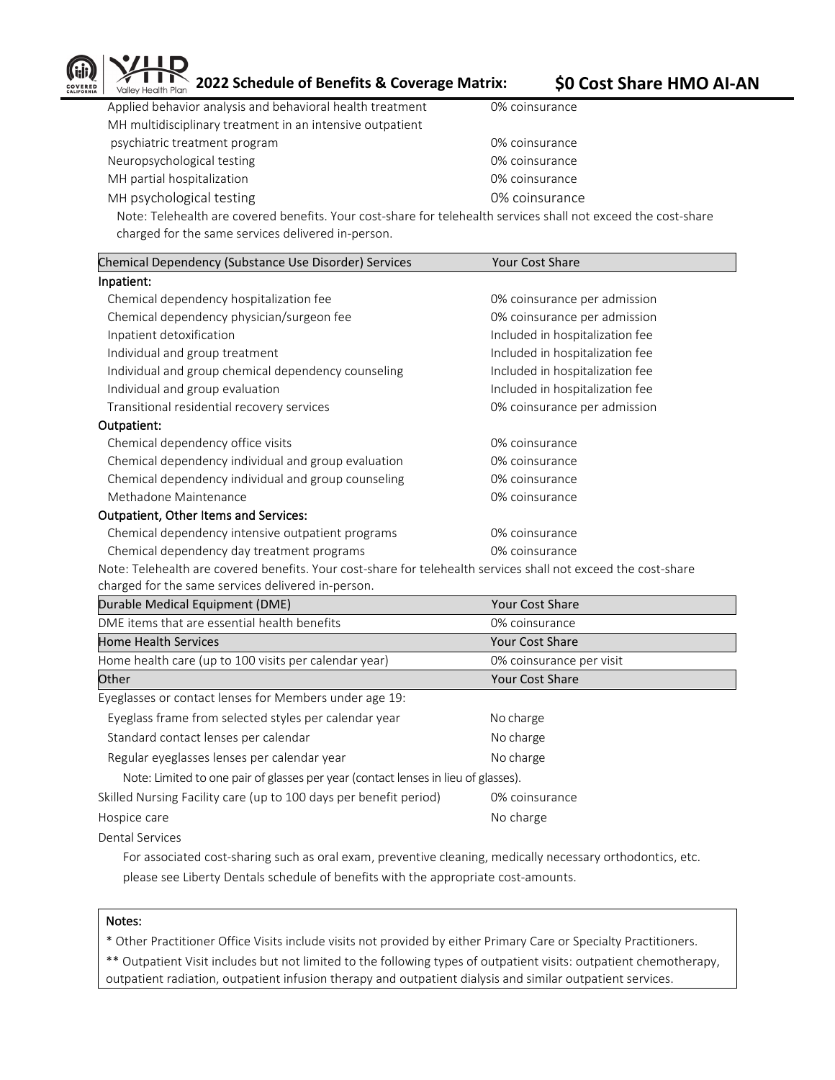

**2022 Schedule of Benefits & Coverage Matrix: \$0 Cost Share HMO AI-AN** 

| Applied behavior analysis and behavioral health treatment                                                                                                                                                                                                                                                   | 0% coinsurance |
|-------------------------------------------------------------------------------------------------------------------------------------------------------------------------------------------------------------------------------------------------------------------------------------------------------------|----------------|
| MH multidisciplinary treatment in an intensive outpatient                                                                                                                                                                                                                                                   |                |
| psychiatric treatment program                                                                                                                                                                                                                                                                               | 0% coinsurance |
| Neuropsychological testing                                                                                                                                                                                                                                                                                  | 0% coinsurance |
| MH partial hospitalization                                                                                                                                                                                                                                                                                  | 0% coinsurance |
| MH psychological testing                                                                                                                                                                                                                                                                                    | 0% coinsurance |
| $\mathbf{M}$ , $\mathbf{L}$ , $\mathbf{L}$ , $\mathbf{L}$ , $\mathbf{L}$ , $\mathbf{L}$ , $\mathbf{L}$ , $\mathbf{L}$ , $\mathbf{L}$ , $\mathbf{L}$ , $\mathbf{L}$ , $\mathbf{L}$ , $\mathbf{L}$ , $\mathbf{L}$ , $\mathbf{L}$ , $\mathbf{L}$ , $\mathbf{L}$ , $\mathbf{L}$ , $\mathbf{L}$ , $\mathbf{L}$ , |                |

Note: Telehealth are covered benefits. Your cost-share for telehealth services shall not exceed the cost-share charged for the same services delivered in-person.

| Chemical Dependency (Substance Use Disorder) Services | <b>Your Cost Share</b>          |  |  |
|-------------------------------------------------------|---------------------------------|--|--|
| Inpatient:                                            |                                 |  |  |
| Chemical dependency hospitalization fee               | 0% coinsurance per admission    |  |  |
| Chemical dependency physician/surgeon fee             | 0% coinsurance per admission    |  |  |
| Inpatient detoxification                              | Included in hospitalization fee |  |  |
| Individual and group treatment                        | Included in hospitalization fee |  |  |
| Individual and group chemical dependency counseling   | Included in hospitalization fee |  |  |
| Individual and group evaluation                       | Included in hospitalization fee |  |  |
| Transitional residential recovery services            | 0% coinsurance per admission    |  |  |
| Outpatient:                                           |                                 |  |  |
| Chemical dependency office visits                     | 0% coinsurance                  |  |  |
| Chemical dependency individual and group evaluation   | 0% coinsurance                  |  |  |
| Chemical dependency individual and group counseling   | 0% coinsurance                  |  |  |
| Methadone Maintenance                                 | 0% coinsurance                  |  |  |
| <b>Outpatient, Other Items and Services:</b>          |                                 |  |  |
| Chemical dependency intensive outpatient programs     | 0% coinsurance                  |  |  |
| Chemical dependency day treatment programs            | 0% coinsurance                  |  |  |
|                                                       |                                 |  |  |

Note: Telehealth are covered benefits. Your cost-share for telehealth services shall not exceed the cost-share charged for the same services delivered in-person.

| Durable Medical Equipment (DME)                                                    | <b>Your Cost Share</b>   |
|------------------------------------------------------------------------------------|--------------------------|
| DME items that are essential health benefits                                       | 0% coinsurance           |
| <b>Home Health Services</b>                                                        | <b>Your Cost Share</b>   |
| Home health care (up to 100 visits per calendar year)                              | 0% coinsurance per visit |
| Other                                                                              | <b>Your Cost Share</b>   |
| Eyeglasses or contact lenses for Members under age 19:                             |                          |
| Eyeglass frame from selected styles per calendar year                              | No charge                |
| Standard contact lenses per calendar                                               | No charge                |
| Regular eyeglasses lenses per calendar year                                        | No charge                |
| Note: Limited to one pair of glasses per year (contact lenses in lieu of glasses). |                          |
| Skilled Nursing Facility care (up to 100 days per benefit period)                  | 0% coinsurance           |
| Hospice care                                                                       | No charge                |
| <b>Dental Services</b>                                                             |                          |

 For associated cost-sharing such as oral exam, preventive cleaning, medically necessary orthodontics, etc. please see Liberty Dentals schedule of benefits with the appropriate cost-amounts.

## Notes:

\* Other Practitioner Office Visits include visits not provided by either Primary Care or Specialty Practitioners.

\*\* Outpatient Visit includes but not limited to the following types of outpatient visits: outpatient chemotherapy, outpatient radiation, outpatient infusion therapy and outpatient dialysis and similar outpatient services.